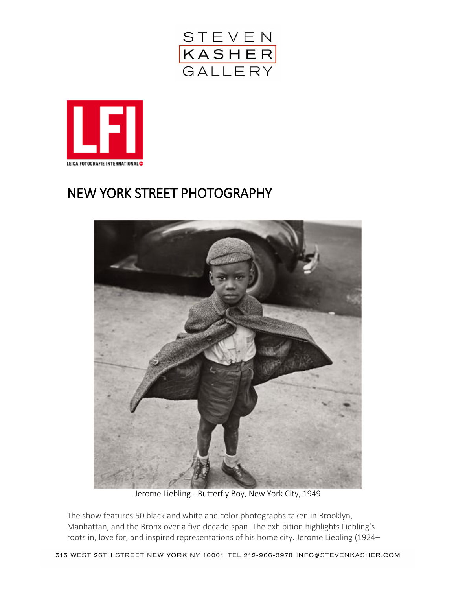



## NEW YORK STREET PHOTOGRAPHY



Jerome Liebling - Butterfly Boy, New York City, 1949

The show features 50 black and white and color photographs taken in Brooklyn, Manhattan, and the Bronx over a five decade span. The exhibition highlights Liebling's roots in, love for, and inspired representations of his home city. Jerome Liebling (1924–

515 WEST 26TH STREET NEW YORK NY 10001 TEL 212-966-3978 INFO@STEVENKASHER.COM